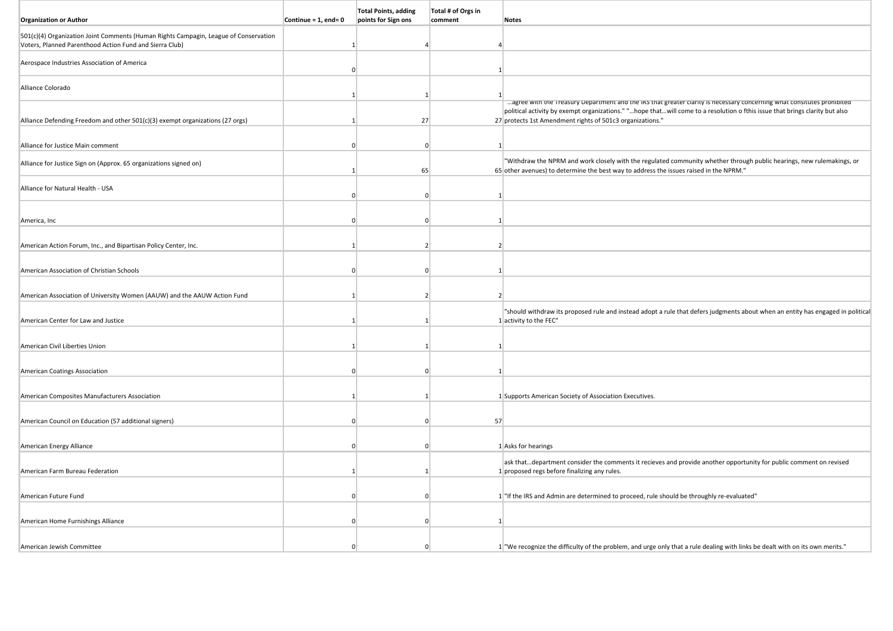| <b>Organization or Author</b>                                                                                                                   | Continue = $1$ , end= 0 | <b>Total Points, adding</b><br>points for Sign ons | Total # of Orgs in<br>comment | <b>Notes</b>                                                                                                                                                                                                                                         |
|-------------------------------------------------------------------------------------------------------------------------------------------------|-------------------------|----------------------------------------------------|-------------------------------|------------------------------------------------------------------------------------------------------------------------------------------------------------------------------------------------------------------------------------------------------|
|                                                                                                                                                 |                         |                                                    |                               |                                                                                                                                                                                                                                                      |
| 501(c)(4) Organization Joint Comments (Human Rights Campagin, League of Conservation<br>Voters, Planned Parenthood Action Fund and Sierra Club) |                         |                                                    |                               |                                                                                                                                                                                                                                                      |
|                                                                                                                                                 |                         |                                                    |                               |                                                                                                                                                                                                                                                      |
| Aerospace Industries Association of America                                                                                                     | $\Omega$                |                                                    | 1                             |                                                                                                                                                                                                                                                      |
| Alliance Colorado                                                                                                                               |                         |                                                    |                               |                                                                                                                                                                                                                                                      |
|                                                                                                                                                 |                         | 1                                                  |                               |                                                                                                                                                                                                                                                      |
|                                                                                                                                                 |                         |                                                    |                               | agree with the Treasury Department and the iks that greater clarity is necessary concerning what consitutes prombited<br>political activity by exempt organizations." "hope thatwill come to a resolution o fthis issue that brings clarity but also |
| Alliance Defending Freedom and other 501(c)(3) exempt organizations (27 orgs)                                                                   |                         | 27                                                 |                               | 27 protects 1st Amendment rights of 501c3 organizations."                                                                                                                                                                                            |
|                                                                                                                                                 |                         |                                                    |                               |                                                                                                                                                                                                                                                      |
| Alliance for Justice Main comment                                                                                                               | $\Omega$                | $\mathbf{0}$                                       | $\mathbf{1}$                  |                                                                                                                                                                                                                                                      |
| Alliance for Justice Sign on (Approx. 65 organizations signed on)                                                                               |                         | 65                                                 |                               | "Withdraw the NPRM and work closely with the regulated community whether through public hearings, new rulemakings, or<br>65 other avenues) to determine the best way to address the issues raised in the NPRM."                                      |
|                                                                                                                                                 |                         |                                                    |                               |                                                                                                                                                                                                                                                      |
| Alliance for Natural Health - USA                                                                                                               |                         | $\Omega$                                           | $\mathbf{1}$                  |                                                                                                                                                                                                                                                      |
|                                                                                                                                                 |                         |                                                    |                               |                                                                                                                                                                                                                                                      |
| America, Inc                                                                                                                                    |                         | $\Omega$                                           | $\mathbf{1}$                  |                                                                                                                                                                                                                                                      |
|                                                                                                                                                 |                         |                                                    |                               |                                                                                                                                                                                                                                                      |
| American Action Forum, Inc., and Bipartisan Policy Center, Inc.                                                                                 |                         | $\mathcal{P}$                                      | $\overline{2}$                |                                                                                                                                                                                                                                                      |
|                                                                                                                                                 |                         |                                                    |                               |                                                                                                                                                                                                                                                      |
| American Association of Christian Schools                                                                                                       |                         | $\Omega$                                           | 1                             |                                                                                                                                                                                                                                                      |
|                                                                                                                                                 |                         |                                                    |                               |                                                                                                                                                                                                                                                      |
| American Association of University Women (AAUW) and the AAUW Action Fund                                                                        |                         |                                                    | $\overline{2}$                |                                                                                                                                                                                                                                                      |
| American Center for Law and Justice                                                                                                             |                         | 1                                                  |                               | "should withdraw its proposed rule and instead adopt a rule that defers judgments about when an entity has engaged in political<br>1 activity to the FEC"                                                                                            |
|                                                                                                                                                 |                         |                                                    |                               |                                                                                                                                                                                                                                                      |
| American Civil Liberties Union                                                                                                                  |                         | -1                                                 | $\vert$ 1                     |                                                                                                                                                                                                                                                      |
|                                                                                                                                                 |                         |                                                    |                               |                                                                                                                                                                                                                                                      |
| American Coatings Association                                                                                                                   |                         | $\Omega$                                           | $\mathbf{1}$                  |                                                                                                                                                                                                                                                      |
|                                                                                                                                                 |                         |                                                    |                               |                                                                                                                                                                                                                                                      |
| American Composites Manufacturers Association                                                                                                   |                         | 1                                                  |                               | 1 Supports American Society of Association Executives.                                                                                                                                                                                               |
|                                                                                                                                                 |                         |                                                    |                               |                                                                                                                                                                                                                                                      |
| American Council on Education (57 additional signers)                                                                                           | $\Omega$                | $\Omega$                                           | 57                            |                                                                                                                                                                                                                                                      |
| American Energy Alliance                                                                                                                        | $\Omega$                | $\Omega$                                           |                               | 1 Asks for hearings                                                                                                                                                                                                                                  |
|                                                                                                                                                 |                         |                                                    |                               |                                                                                                                                                                                                                                                      |
| American Farm Bureau Federation                                                                                                                 |                         |                                                    |                               | ask thatdepartment consider the comments it recieves and provide another opportunity for public comment on revised<br>1 proposed regs before finalizing any rules.                                                                                   |
|                                                                                                                                                 |                         |                                                    |                               |                                                                                                                                                                                                                                                      |
| American Future Fund                                                                                                                            | $\Omega$                | $\Omega$                                           |                               | 1 "If the IRS and Admin are determined to proceed, rule should be throughly re-evaluated"                                                                                                                                                            |
|                                                                                                                                                 |                         |                                                    |                               |                                                                                                                                                                                                                                                      |
| American Home Furnishings Alliance                                                                                                              | $\Omega$                | $\Omega$                                           | $\mathbf{1}$                  |                                                                                                                                                                                                                                                      |
|                                                                                                                                                 |                         |                                                    |                               |                                                                                                                                                                                                                                                      |
| American Jewish Committee                                                                                                                       |                         | n                                                  |                               | 1. "We recognize the difficulty of the problem, and urge only that a rule dealing with links be dealt with on its own merits."                                                                                                                       |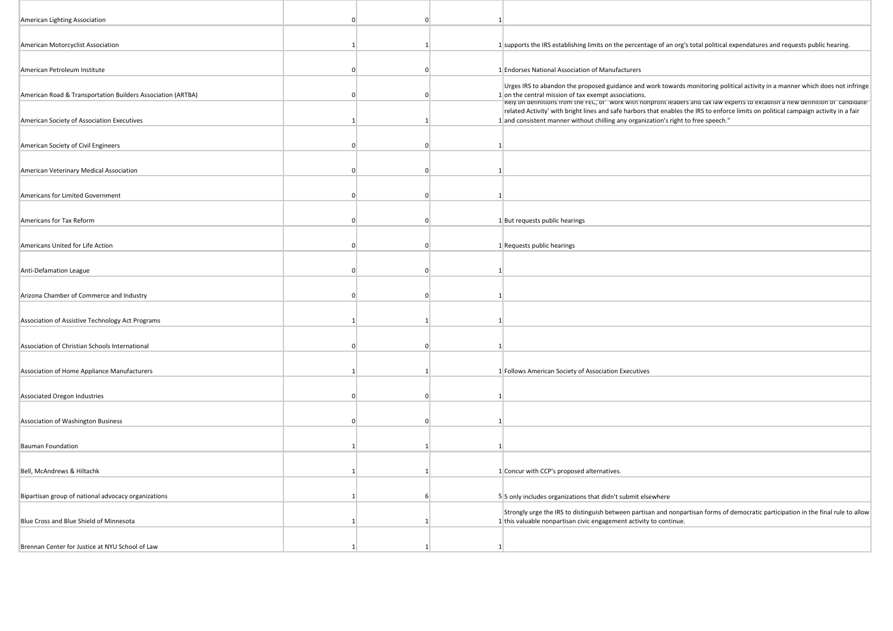| American Lighting Association                               |              |          |             |                                                                                                                                                                                                                                                                                                                         |
|-------------------------------------------------------------|--------------|----------|-------------|-------------------------------------------------------------------------------------------------------------------------------------------------------------------------------------------------------------------------------------------------------------------------------------------------------------------------|
| American Motorcyclist Association                           |              |          |             | 1 supports the IRS establishing limits on the percentage of an org's total political expendatures and requests public hearing.                                                                                                                                                                                          |
| American Petroleum Institute                                | n            |          | $\Omega$    | 1 Endorses National Association of Manufacturers                                                                                                                                                                                                                                                                        |
| American Road & Transportation Builders Association (ARTBA) |              |          | $\Omega$    | Urges IRS to abandon the proposed guidance and work towards monitoring political activity in a manner which does not infringe<br>1 on the central mission of tax exempt associations.<br>Rely on dennitions from the FEC, or work with nonpront leaders and tax law experts to extabilish a new dennition or candidate- |
| American Society of Association Executives                  |              |          |             | related Activity' with bright lines and safe harbors that enables the IRS to enforce limits on political campaign activity in a fair<br>1 and consistent manner without chilling any organization's right to free speech."                                                                                              |
| American Society of Civil Engineers                         |              | $\Omega$ |             | $\vert$ 1                                                                                                                                                                                                                                                                                                               |
| American Veterinary Medical Association                     | n            |          | $\Omega$    | 1                                                                                                                                                                                                                                                                                                                       |
| Americans for Limited Government                            | $\Omega$     |          | $\Omega$    | 1                                                                                                                                                                                                                                                                                                                       |
| Americans for Tax Reform                                    | <sup>0</sup> |          | $\mathbf 0$ | 1 But requests public hearings                                                                                                                                                                                                                                                                                          |
| Americans United for Life Action                            | $\Omega$     |          | $\Omega$    | 1 Requests public hearings                                                                                                                                                                                                                                                                                              |
| Anti-Defamation League                                      | n            |          | $\Omega$    | 1                                                                                                                                                                                                                                                                                                                       |
| Arizona Chamber of Commerce and Industry                    |              | $\Omega$ |             |                                                                                                                                                                                                                                                                                                                         |
| Association of Assistive Technology Act Programs            |              |          |             | 1                                                                                                                                                                                                                                                                                                                       |
| Association of Christian Schools International              | n            |          | $\Omega$    | 1 <sup>1</sup>                                                                                                                                                                                                                                                                                                          |
| Association of Home Appliance Manufacturers                 |              |          |             | 1 Follows American Society of Association Executives                                                                                                                                                                                                                                                                    |
| Associated Oregon Industries                                | $\Omega$     |          | $\mathbf 0$ | 1                                                                                                                                                                                                                                                                                                                       |
| Association of Washington Business                          | n            |          | $\Omega$    | -1                                                                                                                                                                                                                                                                                                                      |
| <b>Bauman Foundation</b>                                    |              |          |             | $\mathbf{1}$                                                                                                                                                                                                                                                                                                            |
| Bell, McAndrews & Hiltachk                                  |              |          |             | 1 Concur with CCP's proposed alternatives.                                                                                                                                                                                                                                                                              |
|                                                             |              | -6       |             |                                                                                                                                                                                                                                                                                                                         |
| Bipartisan group of national advocacy organizations         |              |          |             | 5 5 only includes organizations that didn't submit elsewhere<br>Strongly urge the IRS to distinguish between partisan and nonpartisan forms of democratic participation in the final rule to allow                                                                                                                      |
| Blue Cross and Blue Shield of Minnesota                     |              |          |             | 1 this valuable nonpartisan civic engagement activity to continue.                                                                                                                                                                                                                                                      |
| Brennan Center for Justice at NYU School of Law             |              |          |             | 1 <sup>1</sup>                                                                                                                                                                                                                                                                                                          |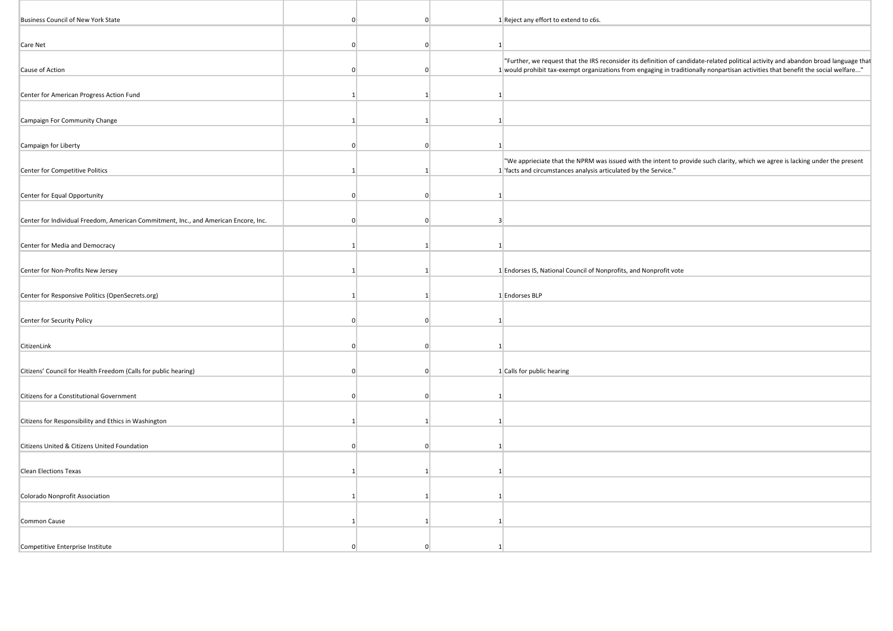| Business Council of New York State                                                  | $\Omega$       | $\Omega$     |                | 1 Reject any effort to extend to c6s.                                                                                                                                                                                                                                   |
|-------------------------------------------------------------------------------------|----------------|--------------|----------------|-------------------------------------------------------------------------------------------------------------------------------------------------------------------------------------------------------------------------------------------------------------------------|
|                                                                                     |                |              |                |                                                                                                                                                                                                                                                                         |
| Care Net                                                                            | $\Omega$       | $\Omega$     | 1              |                                                                                                                                                                                                                                                                         |
| Cause of Action                                                                     | $\mathbf{0}$   | $\Omega$     |                | "Further, we request that the IRS reconsider its definition of candidate-related political activity and abandon broad language that<br>1 would prohibit tax-exempt organizations from engaging in traditionally nonpartisan activities that benefit the social welfare" |
|                                                                                     |                |              |                |                                                                                                                                                                                                                                                                         |
| Center for American Progress Action Fund                                            | $\mathbf{1}$   | 1            | $\mathbf{1}$   |                                                                                                                                                                                                                                                                         |
|                                                                                     |                |              |                |                                                                                                                                                                                                                                                                         |
| Campaign For Community Change                                                       | $\mathbf{1}$   | $\mathbf{1}$ | $\mathbf{1}$   |                                                                                                                                                                                                                                                                         |
|                                                                                     |                |              |                |                                                                                                                                                                                                                                                                         |
| Campaign for Liberty                                                                | $\Omega$       | $\Omega$     | $\overline{1}$ |                                                                                                                                                                                                                                                                         |
|                                                                                     |                |              |                |                                                                                                                                                                                                                                                                         |
| Center for Competitive Politics                                                     | $\mathbf{1}$   | $\mathbf{1}$ |                | "We apprieciate that the NPRM was issued with the intent to provide such clarity, which we agree is lacking under the present<br>1 'facts and circumstances analysis articulated by the Service."                                                                       |
|                                                                                     |                |              |                |                                                                                                                                                                                                                                                                         |
| Center for Equal Opportunity                                                        | $\Omega$       | $\Omega$     | $\vert$ 1      |                                                                                                                                                                                                                                                                         |
|                                                                                     |                |              |                |                                                                                                                                                                                                                                                                         |
| Center for Individual Freedom, American Commitment, Inc., and American Encore, Inc. | $\Omega$       | $\Omega$     | $\overline{3}$ |                                                                                                                                                                                                                                                                         |
|                                                                                     |                |              |                |                                                                                                                                                                                                                                                                         |
| Center for Media and Democracy                                                      | $\vert$ 1      | $\mathbf{1}$ | $\mathbf{1}$   |                                                                                                                                                                                                                                                                         |
|                                                                                     |                |              |                |                                                                                                                                                                                                                                                                         |
| Center for Non-Profits New Jersey                                                   | $\overline{1}$ | 1            |                | 1 Endorses IS, National Council of Nonprofits, and Nonprofit vote                                                                                                                                                                                                       |
|                                                                                     |                |              |                |                                                                                                                                                                                                                                                                         |
|                                                                                     |                |              |                |                                                                                                                                                                                                                                                                         |
| Center for Responsive Politics (OpenSecrets.org)                                    | $\mathbf{1}$   | 1            |                | 1 Endorses BLP                                                                                                                                                                                                                                                          |
|                                                                                     |                |              |                |                                                                                                                                                                                                                                                                         |
| Center for Security Policy                                                          | $\Omega$       | $\Omega$     | $\overline{1}$ |                                                                                                                                                                                                                                                                         |
|                                                                                     |                |              |                |                                                                                                                                                                                                                                                                         |
| CitizenLink                                                                         | $\Omega$       | $\Omega$     | 1              |                                                                                                                                                                                                                                                                         |
|                                                                                     |                |              |                |                                                                                                                                                                                                                                                                         |
| Citizens' Council for Health Freedom (Calls for public hearing)                     | $\Omega$       | $\Omega$     |                | 1 Calls for public hearing                                                                                                                                                                                                                                              |
|                                                                                     |                |              |                |                                                                                                                                                                                                                                                                         |
| Citizens for a Constitutional Government                                            | $\Omega$       | $\Omega$     | $\vert$ 1      |                                                                                                                                                                                                                                                                         |
|                                                                                     |                |              |                |                                                                                                                                                                                                                                                                         |
| Citizens for Responsibility and Ethics in Washington                                | $\mathbf{1}$   | 1            | $\overline{1}$ |                                                                                                                                                                                                                                                                         |
|                                                                                     |                |              |                |                                                                                                                                                                                                                                                                         |
|                                                                                     |                |              |                |                                                                                                                                                                                                                                                                         |
| Citizens United & Citizens United Foundation                                        | $\Omega$       | $\Omega$     | -1             |                                                                                                                                                                                                                                                                         |
|                                                                                     |                |              |                |                                                                                                                                                                                                                                                                         |
| <b>Clean Elections Texas</b>                                                        | $\overline{1}$ | 1            | 1              |                                                                                                                                                                                                                                                                         |
|                                                                                     |                |              |                |                                                                                                                                                                                                                                                                         |
| Colorado Nonprofit Association                                                      | 1              | 1            | 1              |                                                                                                                                                                                                                                                                         |
|                                                                                     |                |              |                |                                                                                                                                                                                                                                                                         |
| Common Cause                                                                        | $\mathbf{1}$   | $\mathbf{1}$ | $\vert$ 1      |                                                                                                                                                                                                                                                                         |
|                                                                                     |                |              |                |                                                                                                                                                                                                                                                                         |
| Competitive Enterprise Institute                                                    | $\Omega$       | ŋ            |                |                                                                                                                                                                                                                                                                         |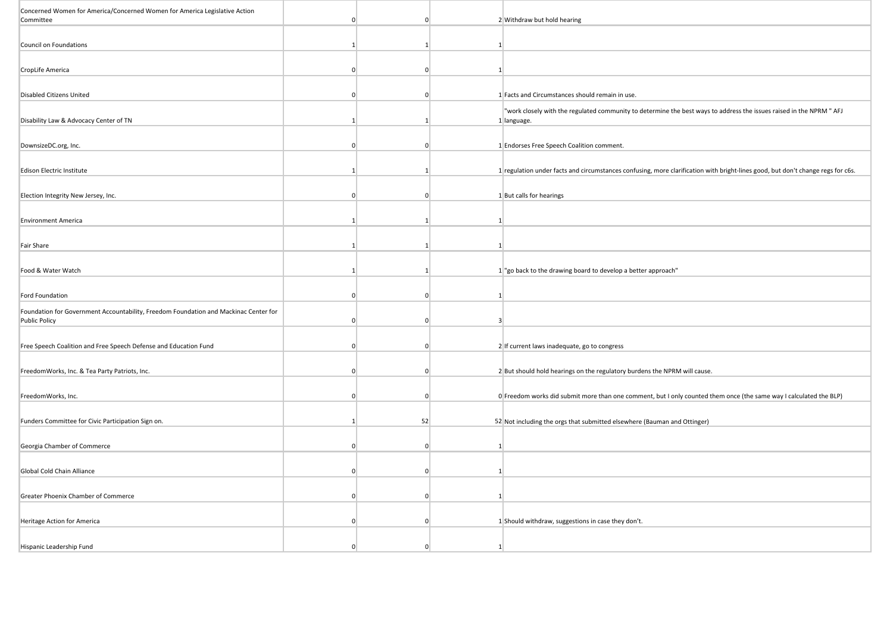| Concerned Women for America/Concerned Women for America Legislative Action<br>Committee |          | $\Omega$       |                |                                                                                                                                     |
|-----------------------------------------------------------------------------------------|----------|----------------|----------------|-------------------------------------------------------------------------------------------------------------------------------------|
|                                                                                         |          |                |                | 2 Withdraw but hold hearing                                                                                                         |
| Council on Foundations                                                                  |          | $\mathbf{1}$   | $\mathbf{1}$   |                                                                                                                                     |
|                                                                                         |          |                |                |                                                                                                                                     |
| CropLife America                                                                        | $\Omega$ | $\mathbf 0$    | $\mathbf{1}$   |                                                                                                                                     |
|                                                                                         |          |                |                |                                                                                                                                     |
| <b>Disabled Citizens United</b>                                                         | $\Omega$ | $\overline{0}$ |                | 1 Facts and Circumstances should remain in use.                                                                                     |
| Disability Law & Advocacy Center of TN                                                  | -1       | -1             |                | "work closely with the regulated community to determine the best ways to address the issues raised in the NPRM " AFJ<br>1 language. |
|                                                                                         |          |                |                |                                                                                                                                     |
| DownsizeDC.org, Inc.                                                                    | $\Omega$ | $\Omega$       |                | 1 Endorses Free Speech Coalition comment.                                                                                           |
|                                                                                         |          |                |                |                                                                                                                                     |
| Edison Electric Institute                                                               |          |                |                | 1 regulation under facts and circumstances confusing, more clarification with bright-lines good, but don't change regs for c6s.     |
|                                                                                         |          |                |                |                                                                                                                                     |
| Election Integrity New Jersey, Inc.                                                     |          | $\Omega$       |                | 1 But calls for hearings                                                                                                            |
|                                                                                         |          |                |                |                                                                                                                                     |
| <b>Environment America</b>                                                              | -1       | $\vert$ 1      | $\mathbf{1}$   |                                                                                                                                     |
|                                                                                         |          |                |                |                                                                                                                                     |
| <b>Fair Share</b>                                                                       |          |                | 1              |                                                                                                                                     |
|                                                                                         |          |                |                |                                                                                                                                     |
| Food & Water Watch                                                                      |          | $\mathbf{1}$   |                | 1 "go back to the drawing board to develop a better approach"                                                                       |
|                                                                                         |          |                |                |                                                                                                                                     |
| Ford Foundation                                                                         | $\Omega$ | $\Omega$       | 1              |                                                                                                                                     |
| Foundation for Government Accountability, Freedom Foundation and Mackinac Center for    |          |                |                |                                                                                                                                     |
| <b>Public Policy</b>                                                                    |          | $\Omega$       | $\overline{3}$ |                                                                                                                                     |
|                                                                                         |          |                |                |                                                                                                                                     |
| Free Speech Coalition and Free Speech Defense and Education Fund                        |          | $\mathbf 0$    |                | 2 If current laws inadequate, go to congress                                                                                        |
| FreedomWorks, Inc. & Tea Party Patriots, Inc.                                           | $\Omega$ | $\Omega$       |                | 2 But should hold hearings on the regulatory burdens the NPRM will cause.                                                           |
|                                                                                         |          |                |                |                                                                                                                                     |
| FreedomWorks, Inc.                                                                      | $\Omega$ | $\overline{0}$ |                | O Freedom works did submit more than one comment, but I only counted them once (the same way I calculated the BLP)                  |
|                                                                                         |          |                |                |                                                                                                                                     |
| Funders Committee for Civic Participation Sign on.                                      |          | 52             |                | 52 Not including the orgs that submitted elsewhere (Bauman and Ottinger)                                                            |
|                                                                                         |          |                |                |                                                                                                                                     |
| Georgia Chamber of Commerce                                                             | $\Omega$ | $\Omega$       | 1              |                                                                                                                                     |
|                                                                                         |          |                |                |                                                                                                                                     |
| Global Cold Chain Alliance                                                              | $\Omega$ | $\Omega$       | 1              |                                                                                                                                     |
|                                                                                         |          |                |                |                                                                                                                                     |
| Greater Phoenix Chamber of Commerce                                                     | $\Omega$ | $\Omega$       | $\mathbf{1}$   |                                                                                                                                     |
|                                                                                         |          |                |                |                                                                                                                                     |
| Heritage Action for America                                                             |          | $\Omega$       |                | 1 Should withdraw, suggestions in case they don't.                                                                                  |
|                                                                                         |          |                |                |                                                                                                                                     |
| Hispanic Leadership Fund                                                                |          | $\Omega$       | $\mathbf{1}$   |                                                                                                                                     |

**The Contract of the Contract of the Contract of the Contract of the Contract of the Contract of the Contract of the Contract of the Contract of the Contract of the Contract of the Contract of the Contract of the Contract**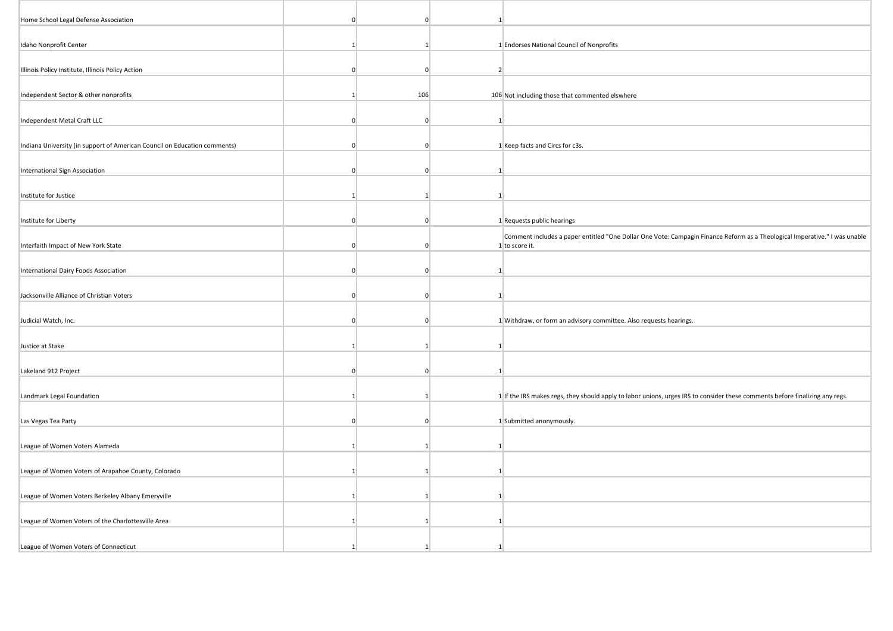| Home School Legal Defense Association                                     | <sup>0</sup>   | $\Omega$       | 1               |                                                                                                                                              |
|---------------------------------------------------------------------------|----------------|----------------|-----------------|----------------------------------------------------------------------------------------------------------------------------------------------|
| Idaho Nonprofit Center                                                    | -1             | $\overline{1}$ |                 | 1 Endorses National Council of Nonprofits                                                                                                    |
| Illinois Policy Institute, Illinois Policy Action                         | $\Omega$       | $\overline{0}$ | $2^{\circ}$     |                                                                                                                                              |
| Independent Sector & other nonprofits                                     | 1              | 106            |                 | 106 Not including those that commented elswhere                                                                                              |
| Independent Metal Craft LLC                                               | $\overline{0}$ | $\mathbf{0}$   | $\mathbf{1}$    |                                                                                                                                              |
| Indiana University (in support of American Council on Education comments) | $\Omega$       | $\mathbf{0}$   |                 | 1 Keep facts and Circs for c3s.                                                                                                              |
| International Sign Association                                            | $\Omega$       | $\Omega$       | $\mathbf{1}$    |                                                                                                                                              |
| Institute for Justice                                                     |                |                | 1               |                                                                                                                                              |
| Institute for Liberty                                                     | $\Omega$       | $\Omega$       |                 | 1 Requests public hearings                                                                                                                   |
| Interfaith Impact of New York State                                       | $\Omega$       | $\Omega$       |                 | Comment includes a paper entitled "One Dollar One Vote: Campagin Finance Reform as a Theological Imperative." I was unable<br>1 to score it. |
| International Dairy Foods Association                                     | $\overline{0}$ | $\overline{0}$ |                 |                                                                                                                                              |
| Jacksonville Alliance of Christian Voters                                 | $\overline{0}$ | $\mathbf{0}$   | 1               |                                                                                                                                              |
| Judicial Watch, Inc.                                                      | $\Omega$       | $\Omega$       |                 | 1 Withdraw, or form an advisory committee. Also requests hearings.                                                                           |
| Justice at Stake                                                          | $\vert$ 1      |                | $\mathbf{1}$    |                                                                                                                                              |
| Lakeland 912 Project                                                      | $\Omega$       | $\Omega$       | $\mathbf{1}$    |                                                                                                                                              |
| Landmark Legal Foundation                                                 | -1             | -11            |                 | 1 If the IRS makes regs, they should apply to labor unions, urges IRS to consider these comments before finalizing any regs.                 |
| Las Vegas Tea Party                                                       | $\Omega$       | $\Omega$       |                 | 1 Submitted anonymously.                                                                                                                     |
| League of Women Voters Alameda                                            | 1              |                | 1               |                                                                                                                                              |
| League of Women Voters of Arapahoe County, Colorado                       | -1             | -1             | $\mathbf{1}$    |                                                                                                                                              |
| League of Women Voters Berkeley Albany Emeryville                         | $\vert$ 1      | -11            | $1\vert$        |                                                                                                                                              |
| League of Women Voters of the Charlottesville Area                        | 1              |                | $1\overline{ }$ |                                                                                                                                              |
| League of Women Voters of Connecticut                                     |                |                | -1              |                                                                                                                                              |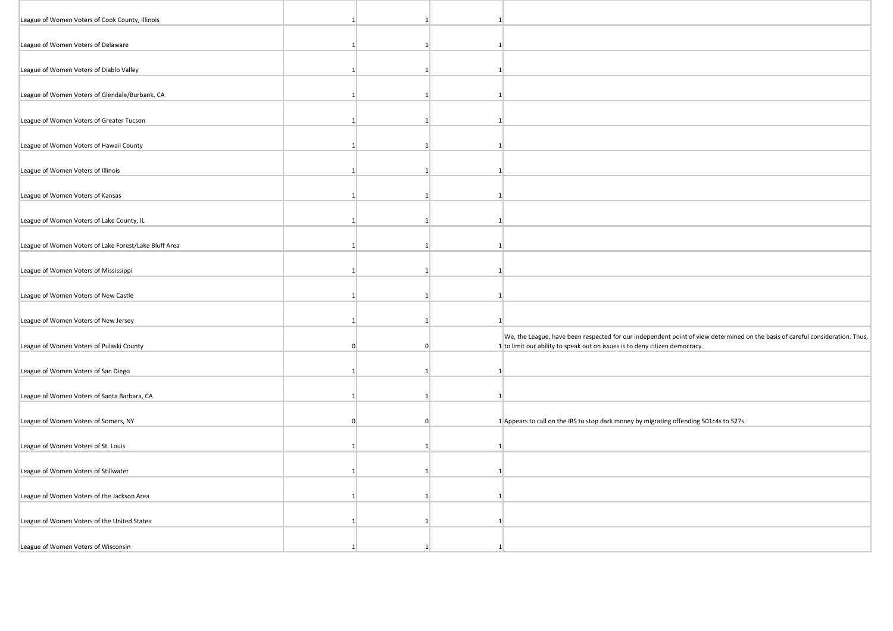| League of Women Voters of Cook County, Illinois       |                |              |              |                                                                                                                                                                                                              |
|-------------------------------------------------------|----------------|--------------|--------------|--------------------------------------------------------------------------------------------------------------------------------------------------------------------------------------------------------------|
| League of Women Voters of Delaware                    |                |              | $\mathbf{1}$ |                                                                                                                                                                                                              |
| League of Women Voters of Diablo Valley               |                |              | 1            |                                                                                                                                                                                                              |
| League of Women Voters of Glendale/Burbank, CA        | 1              |              | $\mathbf{1}$ |                                                                                                                                                                                                              |
| League of Women Voters of Greater Tucson              |                |              |              |                                                                                                                                                                                                              |
|                                                       |                | $\mathbf{1}$ | $\mathbf{1}$ |                                                                                                                                                                                                              |
| League of Women Voters of Hawaii County               | $\mathbf{1}$   |              |              |                                                                                                                                                                                                              |
| League of Women Voters of Illinois                    | 1 <sup>1</sup> |              | 1            |                                                                                                                                                                                                              |
| League of Women Voters of Kansas                      |                |              | $\mathbf{1}$ |                                                                                                                                                                                                              |
| League of Women Voters of Lake County, IL             | -11            | -11          | $\mathbf{1}$ |                                                                                                                                                                                                              |
| League of Women Voters of Lake Forest/Lake Bluff Area | -1             |              | $\mathbf{1}$ |                                                                                                                                                                                                              |
| League of Women Voters of Mississippi                 |                |              | $\mathbf{1}$ |                                                                                                                                                                                                              |
| League of Women Voters of New Castle                  | $\mathbf{1}$   |              | $\mathbf{1}$ |                                                                                                                                                                                                              |
| League of Women Voters of New Jersey                  | 11             | -11          | 1            |                                                                                                                                                                                                              |
| League of Women Voters of Pulaski County              |                | $\Omega$     |              | We, the League, have been respected for our independent point of view determined on the basis of careful consideration. Thus,<br>1 to limit our ability to speak out on issues is to deny citizen democracy. |
| League of Women Voters of San Diego                   | -1             | -1           | $\mathbf{1}$ |                                                                                                                                                                                                              |
| League of Women Voters of Santa Barbara, CA           | 11             | -11          | 1            |                                                                                                                                                                                                              |
|                                                       |                |              |              |                                                                                                                                                                                                              |
| League of Women Voters of Somers, NY                  | $\Omega$       | $\mathbf{0}$ |              | 1 Appears to call on the IRS to stop dark money by migrating offending 501c4s to 527s.                                                                                                                       |
| League of Women Voters of St. Louis                   | 1              |              | 1            |                                                                                                                                                                                                              |
| League of Women Voters of Stillwater                  | 1 <sup>1</sup> | -11          | $\mathbf{1}$ |                                                                                                                                                                                                              |
| League of Women Voters of the Jackson Area            |                |              | $\mathbf{1}$ |                                                                                                                                                                                                              |
| League of Women Voters of the United States           | -11            | -1           | $\mathbf{1}$ |                                                                                                                                                                                                              |
|                                                       |                |              |              |                                                                                                                                                                                                              |
| League of Women Voters of Wisconsin                   |                |              |              |                                                                                                                                                                                                              |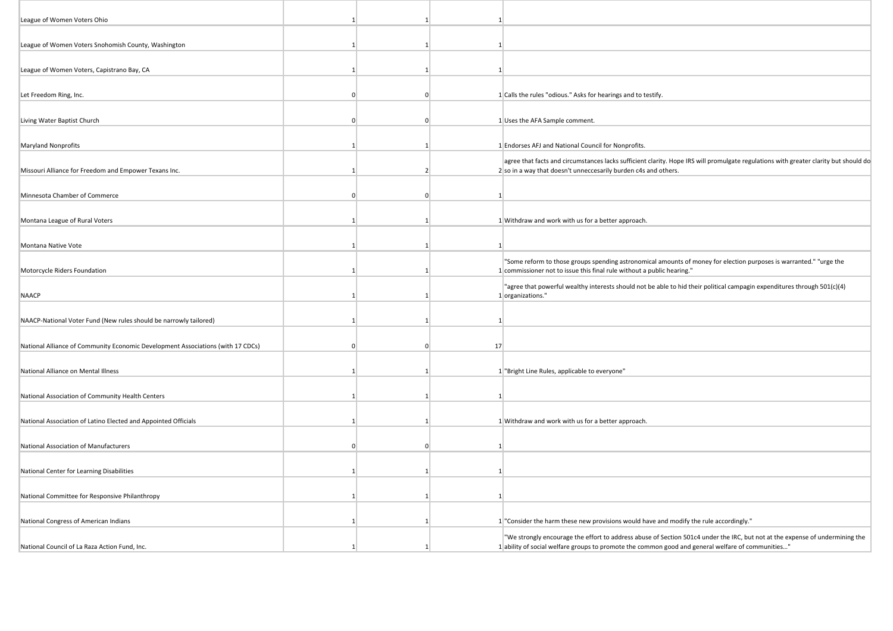| League of Women Voters Ohio                                                     |          |                |              |                                                                                                                                                                                                         |
|---------------------------------------------------------------------------------|----------|----------------|--------------|---------------------------------------------------------------------------------------------------------------------------------------------------------------------------------------------------------|
| League of Women Voters Snohomish County, Washington                             |          | 11             | 1            |                                                                                                                                                                                                         |
|                                                                                 |          |                |              |                                                                                                                                                                                                         |
| League of Women Voters, Capistrano Bay, CA                                      |          |                | $\mathbf{1}$ |                                                                                                                                                                                                         |
| Let Freedom Ring, Inc.                                                          |          | $\mathbf{0}$   |              | 1 Calls the rules "odious." Asks for hearings and to testify.                                                                                                                                           |
| Living Water Baptist Church                                                     | $\Omega$ | $\Omega$       |              | 1 Uses the AFA Sample comment.                                                                                                                                                                          |
| Maryland Nonprofits                                                             |          | -1             |              | 1 Endorses AFJ and National Council for Nonprofits.                                                                                                                                                     |
| Missouri Alliance for Freedom and Empower Texans Inc.                           |          | $\mathcal{P}$  |              | agree that facts and circumstances lacks sufficient clarity. Hope IRS will promulgate regulations with greater clarity but should do<br>2 so in a way that doesn't unneccesarily burden c4s and others. |
|                                                                                 |          |                |              |                                                                                                                                                                                                         |
| Minnesota Chamber of Commerce                                                   |          | n              | $\mathbf{1}$ |                                                                                                                                                                                                         |
| Montana League of Rural Voters                                                  |          | 1              |              | 1 Withdraw and work with us for a better approach.                                                                                                                                                      |
|                                                                                 |          |                |              |                                                                                                                                                                                                         |
| Montana Native Vote                                                             |          | 11             | $\mathbf{1}$ |                                                                                                                                                                                                         |
| Motorcycle Riders Foundation                                                    |          |                |              | "Some reform to those groups spending astronomical amounts of money for election purposes is warranted." "urge the<br>1 commissioner not to issue this final rule without a public hearing."            |
| <b>NAACP</b>                                                                    |          |                |              | "agree that powerful wealthy interests should not be able to hid their political campagin expenditures through 501(c)(4)<br>1 organizations."                                                           |
| NAACP-National Voter Fund (New rules should be narrowly tailored)               |          | 1              | $\mathbf{1}$ |                                                                                                                                                                                                         |
|                                                                                 |          |                |              |                                                                                                                                                                                                         |
| National Alliance of Community Economic Development Associations (with 17 CDCs) | $\Omega$ | $\Omega$       | 17           |                                                                                                                                                                                                         |
| National Alliance on Mental Illness                                             |          |                |              | 1 "Bright Line Rules, applicable to everyone"                                                                                                                                                           |
| National Association of Community Health Centers                                |          | 1 <sup>1</sup> | $\mathbf{1}$ |                                                                                                                                                                                                         |
|                                                                                 |          |                |              |                                                                                                                                                                                                         |
| National Association of Latino Elected and Appointed Officials                  |          | 1              |              | 1 Withdraw and work with us for a better approach.                                                                                                                                                      |
| National Association of Manufacturers                                           |          | $\Omega$       | $\mathbf{1}$ |                                                                                                                                                                                                         |
|                                                                                 |          |                |              |                                                                                                                                                                                                         |
| National Center for Learning Disabilities                                       |          |                | 1            |                                                                                                                                                                                                         |
| National Committee for Responsive Philanthropy                                  |          | 1              | $\mathbf{1}$ |                                                                                                                                                                                                         |
| National Congress of American Indians                                           |          | 1              |              | 1 "Consider the harm these new provisions would have and modify the rule accordingly."                                                                                                                  |
|                                                                                 |          |                |              | "We strongly encourage the effort to address abuse of Section 501c4 under the IRC, but not at the expense of undermining the                                                                            |
| National Council of La Raza Action Fund, Inc.                                   |          |                |              | 1 ability of social welfare groups to promote the common good and general welfare of communities"                                                                                                       |

**The Contract of the Contract of the Contract of the Contract of the Contract of the Contract of the Contract of the Contract of the Contract of the Contract of the Contract of the Contract of the Contract of the Contract**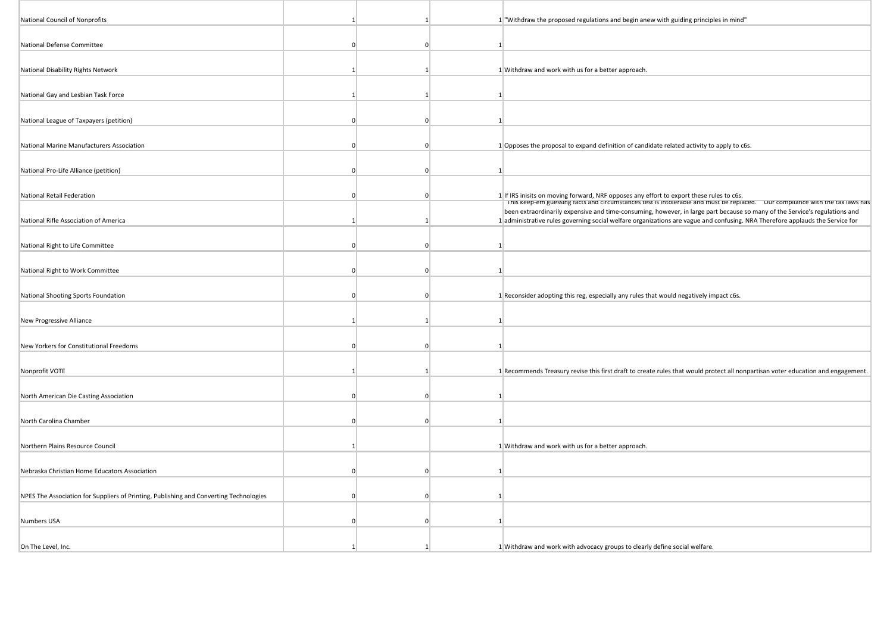| National Council of Nonprofits                                                         |                |              | 1 "Withdraw the proposed regulations and begin anew with guiding principles in mind"                                                                                                                                                                                                                                                                     |
|----------------------------------------------------------------------------------------|----------------|--------------|----------------------------------------------------------------------------------------------------------------------------------------------------------------------------------------------------------------------------------------------------------------------------------------------------------------------------------------------------------|
| National Defense Committee                                                             | $\Omega$       | $\Omega$     | $\mathbf{1}$                                                                                                                                                                                                                                                                                                                                             |
| National Disability Rights Network                                                     | $\overline{1}$ | -11          | 1 Withdraw and work with us for a better approach.                                                                                                                                                                                                                                                                                                       |
|                                                                                        |                |              |                                                                                                                                                                                                                                                                                                                                                          |
| National Gay and Lesbian Task Force                                                    |                |              | $\mathbf{1}$                                                                                                                                                                                                                                                                                                                                             |
| National League of Taxpayers (petition)                                                |                | $\Omega$     | $\mathbf{1}$                                                                                                                                                                                                                                                                                                                                             |
| National Marine Manufacturers Association                                              |                | n            | 1 Opposes the proposal to expand definition of candidate related activity to apply to c6s.                                                                                                                                                                                                                                                               |
| National Pro-Life Alliance (petition)                                                  | $\Omega$       | $\Omega$     | $\mathbf{1}$                                                                                                                                                                                                                                                                                                                                             |
| National Retail Federation                                                             | <sup>0</sup>   | $\Omega$     |                                                                                                                                                                                                                                                                                                                                                          |
|                                                                                        |                |              | 1 If IRS inisits on moving forward, NRF opposes any effort to export these rules to c6s.<br>This keep-em guessing racts and circumstances test is intoierable and must be replaced. Their compilance with the tax laws has<br>been extraordinarily expensive and time-consuming, however, in large part because so many of the Service's regulations and |
| National Rifle Association of America                                                  |                | $\mathbf{1}$ | 1 administrative rules governing social welfare organizations are vague and confusing. NRA Therefore applauds the Service for                                                                                                                                                                                                                            |
| National Right to Life Committee                                                       | $\Omega$       | $\Omega$     | $\mathbf{1}$                                                                                                                                                                                                                                                                                                                                             |
| National Right to Work Committee                                                       | $\Omega$       | $\Omega$     | $\overline{1}$                                                                                                                                                                                                                                                                                                                                           |
| National Shooting Sports Foundation                                                    |                | $\Omega$     | 1 Reconsider adopting this reg, especially any rules that would negatively impact c6s.                                                                                                                                                                                                                                                                   |
| New Progressive Alliance                                                               |                |              | $\mathbf{1}$                                                                                                                                                                                                                                                                                                                                             |
|                                                                                        |                |              |                                                                                                                                                                                                                                                                                                                                                          |
| New Yorkers for Constitutional Freedoms                                                | $\Omega$       | $\Omega$     | $\mathbf{1}$                                                                                                                                                                                                                                                                                                                                             |
| Nonprofit VOTE                                                                         |                |              | 1 Recommends Treasury revise this first draft to create rules that would protect all nonpartisan voter education and engagement.                                                                                                                                                                                                                         |
| North American Die Casting Association                                                 | $\Omega$       | $\mathbf 0$  | $\mathbf{1}$                                                                                                                                                                                                                                                                                                                                             |
| North Carolina Chamber                                                                 | $\Omega$       | $\Omega$     | $\overline{1}$                                                                                                                                                                                                                                                                                                                                           |
| Northern Plains Resource Council                                                       |                |              | 1 Withdraw and work with us for a better approach.                                                                                                                                                                                                                                                                                                       |
|                                                                                        |                |              |                                                                                                                                                                                                                                                                                                                                                          |
| Nebraska Christian Home Educators Association                                          |                | $\Omega$     | $\mathbf{1}$                                                                                                                                                                                                                                                                                                                                             |
| NPES The Association for Suppliers of Printing, Publishing and Converting Technologies |                | $\Omega$     | $\overline{1}$                                                                                                                                                                                                                                                                                                                                           |
| <b>Numbers USA</b>                                                                     | $\Omega$       | $\Omega$     | $\mathbf{1}$                                                                                                                                                                                                                                                                                                                                             |
| On The Level, Inc.                                                                     |                |              | 1 Withdraw and work with advocacy groups to clearly define social welfare.                                                                                                                                                                                                                                                                               |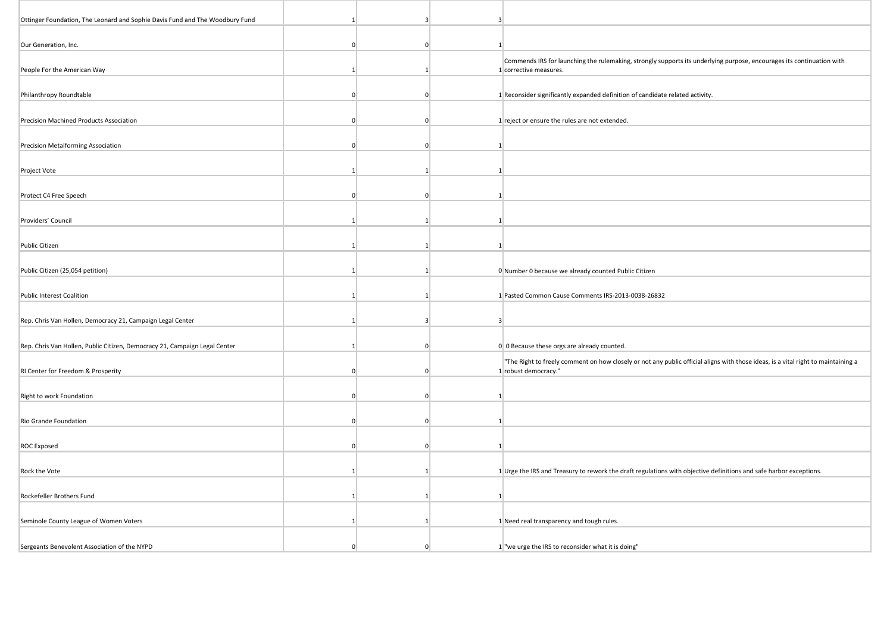| Ottinger Foundation, The Leonard and Sophie Davis Fund and The Woodbury Fund | 1              | 3            | 3               |                                                                                                                                                           |
|------------------------------------------------------------------------------|----------------|--------------|-----------------|-----------------------------------------------------------------------------------------------------------------------------------------------------------|
| Our Generation, Inc.                                                         | $\Omega$       | $\Omega$     | $1\overline{ }$ |                                                                                                                                                           |
| People For the American Way                                                  |                |              |                 | Commends IRS for launching the rulemaking, strongly supports its underlying purpose, encourages its continuation with<br>1 corrective measures.           |
| Philanthropy Roundtable                                                      | $\Omega$       | $\Omega$     |                 | 1 Reconsider significantly expanded definition of candidate related activity.                                                                             |
| Precision Machined Products Association                                      | $\Omega$       | $\Omega$     |                 | 1 reject or ensure the rules are not extended.                                                                                                            |
| Precision Metalforming Association                                           | $\overline{0}$ | $\Omega$     | $\mathbf{1}$    |                                                                                                                                                           |
| Project Vote                                                                 | $\vert$ 1      |              | $\overline{1}$  |                                                                                                                                                           |
| Protect C4 Free Speech                                                       | $\Omega$       | $\Omega$     | 1               |                                                                                                                                                           |
| Providers' Council                                                           |                |              | 1               |                                                                                                                                                           |
| Public Citizen                                                               | -11            | -1           | 1               |                                                                                                                                                           |
| Public Citizen (25,054 petition)                                             | $\mathbf{1}$   | -11          |                 | 0 Number 0 because we already counted Public Citizen                                                                                                      |
| <b>Public Interest Coalition</b>                                             | 1              |              |                 | 1 Pasted Common Cause Comments IRS-2013-0038-26832                                                                                                        |
| Rep. Chris Van Hollen, Democracy 21, Campaign Legal Center                   | -1             | 3            | 3 <sup>1</sup>  |                                                                                                                                                           |
| Rep. Chris Van Hollen, Public Citizen, Democracy 21, Campaign Legal Center   |                | $\Omega$     |                 | 0 0 Because these orgs are already counted.                                                                                                               |
| RI Center for Freedom & Prosperity                                           | $\Omega$       | $\Omega$     |                 | "The Right to freely comment on how closely or not any public official aligns with those ideas, is a vital right to maintaining a<br>1 robust democracy." |
| Right to work Foundation                                                     | $\Omega$       | $\mathbf{0}$ | $\mathbf{1}$    |                                                                                                                                                           |
| Rio Grande Foundation                                                        | $\Omega$       | $\Omega$     | $\mathbf{1}$    |                                                                                                                                                           |
| <b>ROC Exposed</b>                                                           | $\Omega$       | $\Omega$     | 1               |                                                                                                                                                           |
| Rock the Vote                                                                | $\mathbf{1}$   | -11          |                 | 1 Urge the IRS and Treasury to rework the draft regulations with objective definitions and safe harbor exceptions.                                        |
| Rockefeller Brothers Fund                                                    | $\mathbf{1}$   |              | $\mathbf{1}$    |                                                                                                                                                           |
| Seminole County League of Women Voters                                       | -1             | -1           |                 | 1 Need real transparency and tough rules.                                                                                                                 |
| Sergeants Benevolent Association of the NYPD                                 | $\Omega$       | $\Omega$     |                 | 1 "we urge the IRS to reconsider what it is doing"                                                                                                        |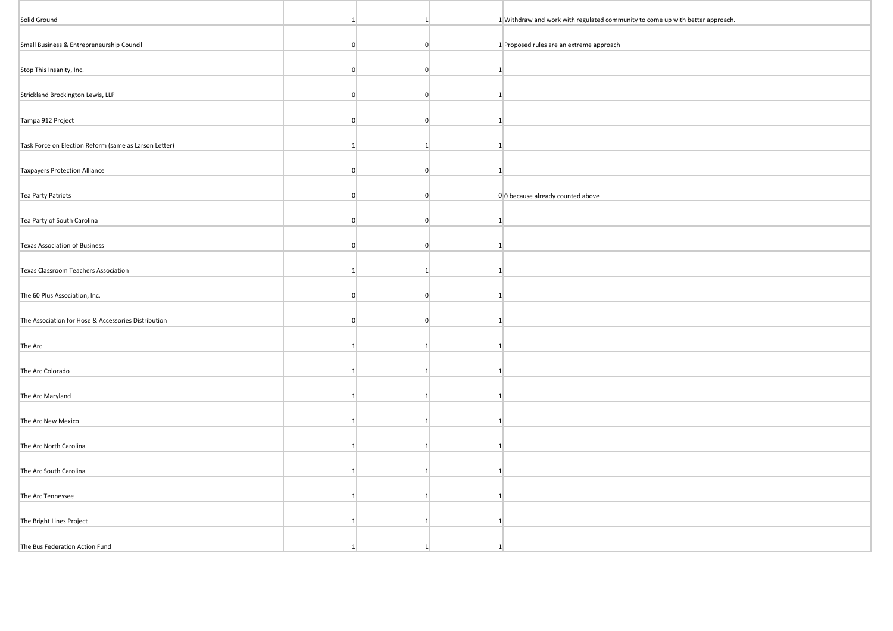| Solid Ground                                          | $\mathbf{1}$    | $\mathbf{1}$   |                | 1 Withdraw and work with regulated community to come up with better approach. |
|-------------------------------------------------------|-----------------|----------------|----------------|-------------------------------------------------------------------------------|
| Small Business & Entrepreneurship Council             | $\overline{0}$  | $\overline{0}$ |                | 1 Proposed rules are an extreme approach                                      |
| Stop This Insanity, Inc.                              | $\overline{0}$  | $\overline{0}$ | $\mathbf{1}$   |                                                                               |
|                                                       |                 |                |                |                                                                               |
| Strickland Brockington Lewis, LLP                     | $\overline{0}$  | $\overline{0}$ | $\mathbf{1}$   |                                                                               |
| Tampa 912 Project                                     | $\overline{0}$  | $\overline{0}$ |                |                                                                               |
| Task Force on Election Reform (same as Larson Letter) | 1               | $\mathbf{1}$   | $\overline{1}$ |                                                                               |
| <b>Taxpayers Protection Alliance</b>                  | $\overline{0}$  | $\overline{0}$ | $\mathbf{1}$   |                                                                               |
| Tea Party Patriots                                    | $\overline{0}$  | $\overline{0}$ |                | 0 0 because already counted above                                             |
| Tea Party of South Carolina                           | $\overline{0}$  | $\overline{0}$ | $\vert$ 1      |                                                                               |
| Texas Association of Business                         | $\overline{0}$  | $\overline{0}$ | -1             |                                                                               |
| Texas Classroom Teachers Association                  | 1               | 1              | $\overline{1}$ |                                                                               |
| The 60 Plus Association, Inc.                         | $\mathbf{0}$    | $\overline{0}$ | $\mathbf{1}$   |                                                                               |
| The Association for Hose & Accessories Distribution   | $\overline{0}$  | $\overline{0}$ | $\overline{1}$ |                                                                               |
|                                                       |                 |                |                |                                                                               |
| The Arc                                               | $\vert$ 1       | $\mathbf{1}$   | $\overline{1}$ |                                                                               |
| The Arc Colorado                                      | $1\overline{ }$ | $\mathbf{1}$   | -11            |                                                                               |
| The Arc Maryland                                      | $\vert$ 1       | $\mathbf{1}$   | 1              |                                                                               |
| The Arc New Mexico                                    | $\vert$ 1       | 1              | $\overline{1}$ |                                                                               |
| The Arc North Carolina                                | $\mathbf{1}$    | 1              | $\vert$ 1      |                                                                               |
| The Arc South Carolina                                | $\mathbf{1}$    | $\mathbf{1}$   | $\overline{1}$ |                                                                               |
| The Arc Tennessee                                     | $\mathbf{1}$    | $\mathbf{1}$   | -1             |                                                                               |
| The Bright Lines Project                              | $\vert$ 1       | 1              | 1              |                                                                               |
| The Bus Federation Action Fund                        | 1               | $\mathbf{1}$   |                |                                                                               |
|                                                       |                 |                |                |                                                                               |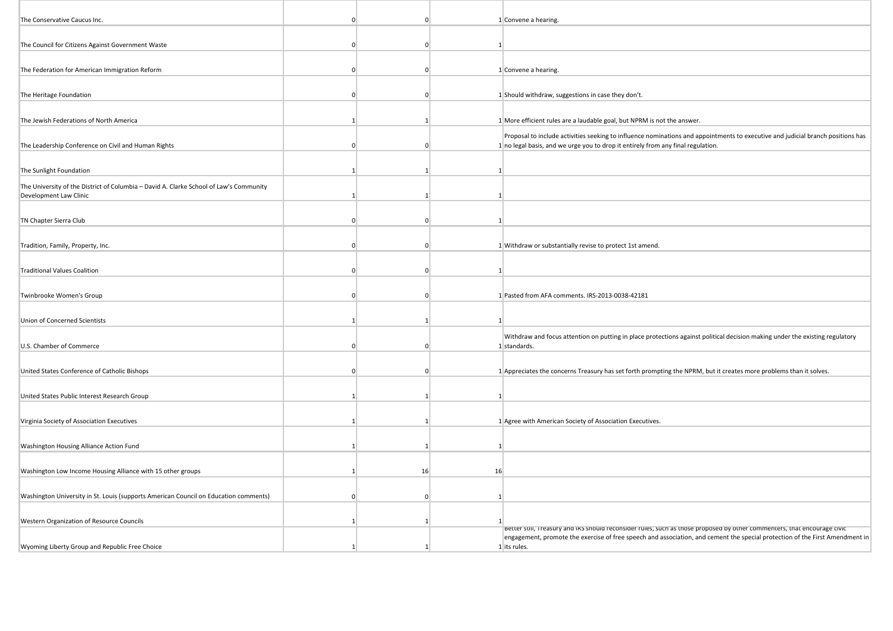| The Conservative Caucus Inc.                                                                                     | $\Omega$       |    | $\Omega$       | 1 Convene a hearing.                                                                                                                                                                                                |
|------------------------------------------------------------------------------------------------------------------|----------------|----|----------------|---------------------------------------------------------------------------------------------------------------------------------------------------------------------------------------------------------------------|
| The Council for Citizens Against Government Waste                                                                | $\Omega$       |    | $\Omega$       | 1 <sup>1</sup>                                                                                                                                                                                                      |
|                                                                                                                  |                |    |                |                                                                                                                                                                                                                     |
| The Federation for American Immigration Reform                                                                   | $\overline{0}$ |    | $\overline{0}$ | 1 Convene a hearing.                                                                                                                                                                                                |
| The Heritage Foundation                                                                                          | $\Omega$       |    | $\Omega$       | 1 Should withdraw, suggestions in case they don't.                                                                                                                                                                  |
|                                                                                                                  |                |    |                |                                                                                                                                                                                                                     |
| The Jewish Federations of North America                                                                          | $\mathbf{1}$   |    | $\overline{1}$ | 1 More efficient rules are a laudable goal, but NPRM is not the answer.                                                                                                                                             |
| The Leadership Conference on Civil and Human Rights                                                              | $\Omega$       |    | $\Omega$       | Proposal to include activities seeking to influence nominations and appointments to executive and judicial branch positions has<br>1 no legal basis, and we urge you to drop it entirely from any final regulation. |
| The Sunlight Foundation                                                                                          | $\mathbf{1}$   |    |                | $\mathbf{1}$                                                                                                                                                                                                        |
| The University of the District of Columbia - David A. Clarke School of Law's Community<br>Development Law Clinic | 1              |    |                | $\mathbf{1}$                                                                                                                                                                                                        |
| TN Chapter Sierra Club                                                                                           | $\overline{0}$ |    | $\overline{0}$ | $\mathbf{1}$                                                                                                                                                                                                        |
| Tradition, Family, Property, Inc.                                                                                | $\Omega$       |    | $\Omega$       | 1 Withdraw or substantially revise to protect 1st amend.                                                                                                                                                            |
|                                                                                                                  |                |    |                |                                                                                                                                                                                                                     |
| <b>Traditional Values Coalition</b>                                                                              | $\Omega$       |    | $\Omega$       | $\mathbf{1}$                                                                                                                                                                                                        |
| Twinbrooke Women's Group                                                                                         | $\Omega$       |    | $\Omega$       | 1 Pasted from AFA comments. IRS-2013-0038-42181                                                                                                                                                                     |
| Union of Concerned Scientists                                                                                    | $\mathbf{1}$   |    | $\vert$ 1      | 1                                                                                                                                                                                                                   |
| U.S. Chamber of Commerce                                                                                         | $\Omega$       |    | $\Omega$       | Withdraw and focus attention on putting in place protections against political decision making under the existing regulatory<br>1 standards.                                                                        |
| United States Conference of Catholic Bishops                                                                     | $\Omega$       |    | $\Omega$       | 1 Appreciates the concerns Treasury has set forth prompting the NPRM, but it creates more problems than it solves.                                                                                                  |
|                                                                                                                  |                |    |                |                                                                                                                                                                                                                     |
| United States Public Interest Research Group                                                                     | 1              |    | $\mathbf{1}$   | $\mathbf{1}$                                                                                                                                                                                                        |
| Virginia Society of Association Executives                                                                       | -1             |    |                | 1 Agree with American Society of Association Executives.                                                                                                                                                            |
|                                                                                                                  |                |    |                |                                                                                                                                                                                                                     |
| Washington Housing Alliance Action Fund                                                                          | 1              |    |                | $\mathbf{1}$                                                                                                                                                                                                        |
| Washington Low Income Housing Alliance with 15 other groups                                                      | 1              | 16 | 16             |                                                                                                                                                                                                                     |
| Washington University in St. Louis (supports American Council on Education comments)                             | $\Omega$       |    | $\overline{0}$ | 1                                                                                                                                                                                                                   |
|                                                                                                                  |                |    |                |                                                                                                                                                                                                                     |
| Western Organization of Resource Councils                                                                        | 1              | -1 |                | Better suil, freasury and iks should reconsider rules, such as those proposed by other commenters, that encourage civic                                                                                             |
|                                                                                                                  |                |    |                | engagement, promote the exercise of free speech and association, and cement the special protection of the First Amendment in                                                                                        |
| Wyoming Liberty Group and Republic Free Choice                                                                   |                |    |                | 1 its rules.                                                                                                                                                                                                        |